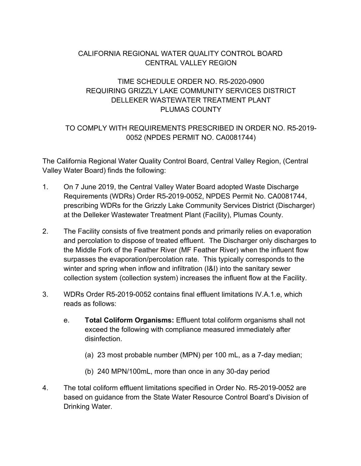# CALIFORNIA REGIONAL WATER QUALITY CONTROL BOARD CENTRAL VALLEY REGION

# TIME SCHEDULE ORDER NO. R5-2020-0900 REQUIRING GRIZZLY LAKE COMMUNITY SERVICES DISTRICT DELLEKER WASTEWATER TREATMENT PLANT PLUMAS COUNTY

## TO COMPLY WITH REQUIREMENTS PRESCRIBED IN ORDER NO. R5-2019- 0052 (NPDES PERMIT NO. CA0081744)

The California Regional Water Quality Control Board, Central Valley Region, (Central Valley Water Board) finds the following:

- 1. On 7 June 2019, the Central Valley Water Board adopted Waste Discharge Requirements (WDRs) Order R5-2019-0052, NPDES Permit No. CA0081744, prescribing WDRs for the Grizzly Lake Community Services District (Discharger) at the Delleker Wastewater Treatment Plant (Facility), Plumas County.
- 2. The Facility consists of five treatment ponds and primarily relies on evaporation and percolation to dispose of treated effluent. The Discharger only discharges to the Middle Fork of the Feather River (MF Feather River) when the influent flow surpasses the evaporation/percolation rate. This typically corresponds to the winter and spring when inflow and infiltration (I&I) into the sanitary sewer collection system (collection system) increases the influent flow at the Facility.
- 3. WDRs Order R5-2019-0052 contains final effluent limitations IV.A.1.e, which reads as follows:
	- e. **Total Coliform Organisms:** Effluent total coliform organisms shall not exceed the following with compliance measured immediately after disinfection.
		- (a) 23 most probable number (MPN) per 100 mL, as a 7-day median;
		- (b) 240 MPN/100mL, more than once in any 30-day period
- 4. The total coliform effluent limitations specified in Order No. R5-2019-0052 are based on guidance from the State Water Resource Control Board's Division of Drinking Water.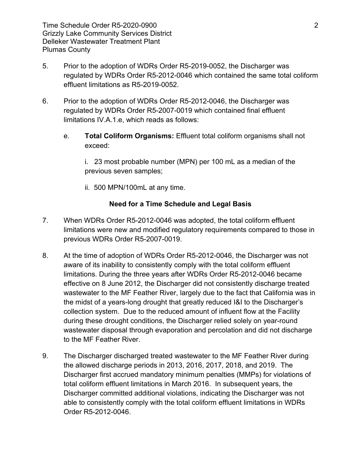Time Schedule Order R5-2020-0900 2 Grizzly Lake Community Services District Delleker Wastewater Treatment Plant Plumas County

- 5. Prior to the adoption of WDRs Order R5-2019-0052, the Discharger was regulated by WDRs Order R5-2012-0046 which contained the same total coliform effluent limitations as R5-2019-0052.
- 6. Prior to the adoption of WDRs Order R5-2012-0046, the Discharger was regulated by WDRs Order R5-2007-0019 which contained final effluent limitations IV.A.1.e, which reads as follows:
	- e. **Total Coliform Organisms:** Effluent total coliform organisms shall not exceed:

i. 23 most probable number (MPN) per 100 mL as a median of the previous seven samples;

ii. 500 MPN/100mL at any time.

## **Need for a Time Schedule and Legal Basis**

- 7. When WDRs Order R5-2012-0046 was adopted, the total coliform effluent limitations were new and modified regulatory requirements compared to those in previous WDRs Order R5-2007-0019.
- 8. At the time of adoption of WDRs Order R5-2012-0046, the Discharger was not aware of its inability to consistently comply with the total coliform effluent limitations. During the three years after WDRs Order R5-2012-0046 became effective on 8 June 2012, the Discharger did not consistently discharge treated wastewater to the MF Feather River, largely due to the fact that California was in the midst of a years-long drought that greatly reduced I&I to the Discharger's collection system. Due to the reduced amount of influent flow at the Facility during these drought conditions, the Discharger relied solely on year-round wastewater disposal through evaporation and percolation and did not discharge to the MF Feather River.
- 9. The Discharger discharged treated wastewater to the MF Feather River during the allowed discharge periods in 2013, 2016, 2017, 2018, and 2019. The Discharger first accrued mandatory minimum penalties (MMPs) for violations of total coliform effluent limitations in March 2016. In subsequent years, the Discharger committed additional violations, indicating the Discharger was not able to consistently comply with the total coliform effluent limitations in WDRs Order R5-2012-0046.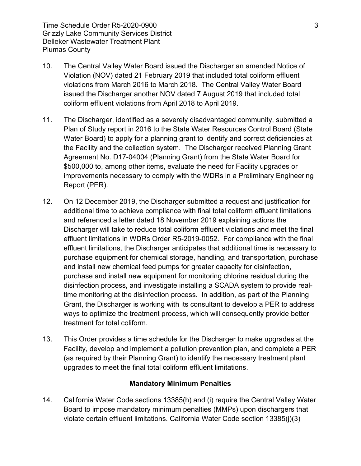Time Schedule Order R5-2020-0900 3 Grizzly Lake Community Services District Delleker Wastewater Treatment Plant Plumas County

- 10. The Central Valley Water Board issued the Discharger an amended Notice of Violation (NOV) dated 21 February 2019 that included total coliform effluent violations from March 2016 to March 2018. The Central Valley Water Board issued the Discharger another NOV dated 7 August 2019 that included total coliform effluent violations from April 2018 to April 2019.
- 11. The Discharger, identified as a severely disadvantaged community, submitted a Plan of Study report in 2016 to the State Water Resources Control Board (State Water Board) to apply for a planning grant to identify and correct deficiencies at the Facility and the collection system. The Discharger received Planning Grant Agreement No. D17-04004 (Planning Grant) from the State Water Board for \$500,000 to, among other items, evaluate the need for Facility upgrades or improvements necessary to comply with the WDRs in a Preliminary Engineering Report (PER).
- 12. On 12 December 2019, the Discharger submitted a request and justification for additional time to achieve compliance with final total coliform effluent limitations and referenced a letter dated 18 November 2019 explaining actions the Discharger will take to reduce total coliform effluent violations and meet the final effluent limitations in WDRs Order R5-2019-0052. For compliance with the final effluent limitations, the Discharger anticipates that additional time is necessary to purchase equipment for chemical storage, handling, and transportation, purchase and install new chemical feed pumps for greater capacity for disinfection, purchase and install new equipment for monitoring chlorine residual during the disinfection process, and investigate installing a SCADA system to provide realtime monitoring at the disinfection process. In addition, as part of the Planning Grant, the Discharger is working with its consultant to develop a PER to address ways to optimize the treatment process, which will consequently provide better treatment for total coliform.
- 13. This Order provides a time schedule for the Discharger to make upgrades at the Facility, develop and implement a pollution prevention plan, and complete a PER (as required by their Planning Grant) to identify the necessary treatment plant upgrades to meet the final total coliform effluent limitations.

### **Mandatory Minimum Penalties**

14. California Water Code sections 13385(h) and (i) require the Central Valley Water Board to impose mandatory minimum penalties (MMPs) upon dischargers that violate certain effluent limitations. California Water Code section 13385(j)(3)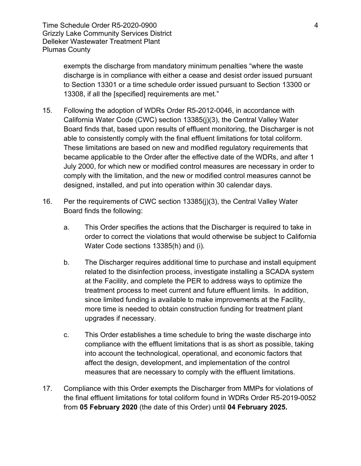exempts the discharge from mandatory minimum penalties "where the waste discharge is in compliance with either a cease and desist order issued pursuant to Section 13301 or a time schedule order issued pursuant to Section 13300 or 13308, if all the [specified] requirements are met."

- 15. Following the adoption of WDRs Order R5-2012-0046, in accordance with California Water Code (CWC) section 13385(j)(3), the Central Valley Water Board finds that, based upon results of effluent monitoring, the Discharger is not able to consistently comply with the final effluent limitations for total coliform. These limitations are based on new and modified regulatory requirements that became applicable to the Order after the effective date of the WDRs, and after 1 July 2000, for which new or modified control measures are necessary in order to comply with the limitation, and the new or modified control measures cannot be designed, installed, and put into operation within 30 calendar days.
- 16. Per the requirements of CWC section 13385(j)(3), the Central Valley Water Board finds the following:
	- a. This Order specifies the actions that the Discharger is required to take in order to correct the violations that would otherwise be subject to California Water Code sections 13385(h) and (i).
	- b. The Discharger requires additional time to purchase and install equipment related to the disinfection process, investigate installing a SCADA system at the Facility, and complete the PER to address ways to optimize the treatment process to meet current and future effluent limits. In addition, since limited funding is available to make improvements at the Facility, more time is needed to obtain construction funding for treatment plant upgrades if necessary.
	- c. This Order establishes a time schedule to bring the waste discharge into compliance with the effluent limitations that is as short as possible, taking into account the technological, operational, and economic factors that affect the design, development, and implementation of the control measures that are necessary to comply with the effluent limitations.
- 17. Compliance with this Order exempts the Discharger from MMPs for violations of the final effluent limitations for total coliform found in WDRs Order R5-2019-0052 from **05 February 2020** (the date of this Order) until **04 February 2025.**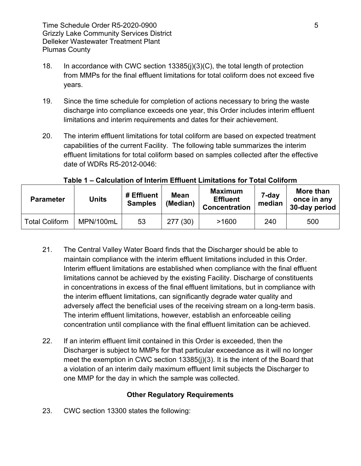- 18. In accordance with CWC section 13385(j)(3)(C), the total length of protection from MMPs for the final effluent limitations for total coliform does not exceed five years.
- 19. Since the time schedule for completion of actions necessary to bring the waste discharge into compliance exceeds one year, this Order includes interim effluent limitations and interim requirements and dates for their achievement.
- 20. The interim effluent limitations for total coliform are based on expected treatment capabilities of the current Facility. The following table summarizes the interim effluent limitations for total coliform based on samples collected after the effective date of WDRs R5-2012-0046:

| <b>Parameter</b>      | <b>Units</b> | # Effluent<br><b>Samples</b> | <b>Mean</b><br>(Median) | <b>Maximum</b><br><b>Effluent</b><br><b>Concentration</b> | 7-day<br>median | More than<br>once in any<br>30-day period |
|-----------------------|--------------|------------------------------|-------------------------|-----------------------------------------------------------|-----------------|-------------------------------------------|
| <b>Total Coliform</b> | MPN/100mL    | 53                           | 277(30)                 | >1600                                                     | 240             | 500                                       |

## **Table 1 – Calculation of Interim Effluent Limitations for Total Coliform**

- 21. The Central Valley Water Board finds that the Discharger should be able to maintain compliance with the interim effluent limitations included in this Order. Interim effluent limitations are established when compliance with the final effluent limitations cannot be achieved by the existing Facility. Discharge of constituents in concentrations in excess of the final effluent limitations, but in compliance with the interim effluent limitations, can significantly degrade water quality and adversely affect the beneficial uses of the receiving stream on a long-term basis. The interim effluent limitations, however, establish an enforceable ceiling concentration until compliance with the final effluent limitation can be achieved.
- 22. If an interim effluent limit contained in this Order is exceeded, then the Discharger is subject to MMPs for that particular exceedance as it will no longer meet the exemption in CWC section 13385(j)(3). It is the intent of the Board that a violation of an interim daily maximum effluent limit subjects the Discharger to one MMP for the day in which the sample was collected.

## **Other Regulatory Requirements**

23. CWC section 13300 states the following: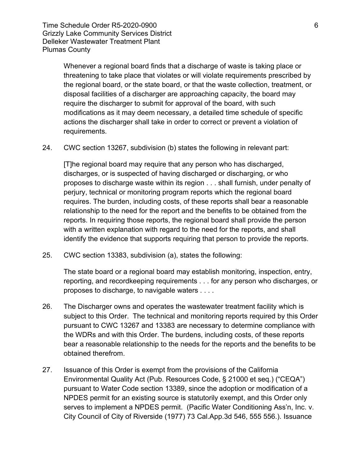Time Schedule Order R5-2020-0900 6 Grizzly Lake Community Services District Delleker Wastewater Treatment Plant Plumas County

Whenever a regional board finds that a discharge of waste is taking place or threatening to take place that violates or will violate requirements prescribed by the regional board, or the state board, or that the waste collection, treatment, or disposal facilities of a discharger are approaching capacity, the board may require the discharger to submit for approval of the board, with such modifications as it may deem necessary, a detailed time schedule of specific actions the discharger shall take in order to correct or prevent a violation of requirements.

24. CWC section 13267, subdivision (b) states the following in relevant part:

[T]he regional board may require that any person who has discharged, discharges, or is suspected of having discharged or discharging, or who proposes to discharge waste within its region . . . shall furnish, under penalty of perjury, technical or monitoring program reports which the regional board requires. The burden, including costs, of these reports shall bear a reasonable relationship to the need for the report and the benefits to be obtained from the reports. In requiring those reports, the regional board shall provide the person with a written explanation with regard to the need for the reports, and shall identify the evidence that supports requiring that person to provide the reports.

25. CWC section 13383, subdivision (a), states the following:

The state board or a regional board may establish monitoring, inspection, entry, reporting, and recordkeeping requirements . . . for any person who discharges, or proposes to discharge, to navigable waters . . . .

- 26. The Discharger owns and operates the wastewater treatment facility which is subject to this Order. The technical and monitoring reports required by this Order pursuant to CWC 13267 and 13383 are necessary to determine compliance with the WDRs and with this Order. The burdens, including costs, of these reports bear a reasonable relationship to the needs for the reports and the benefits to be obtained therefrom.
- 27. Issuance of this Order is exempt from the provisions of the California Environmental Quality Act (Pub. Resources Code, § 21000 et seq.) ("CEQA") pursuant to Water Code section 13389, since the adoption or modification of a NPDES permit for an existing source is statutorily exempt, and this Order only serves to implement a NPDES permit. (Pacific Water Conditioning Ass'n, Inc. v. City Council of City of Riverside (1977) 73 Cal.App.3d 546, 555 556.). Issuance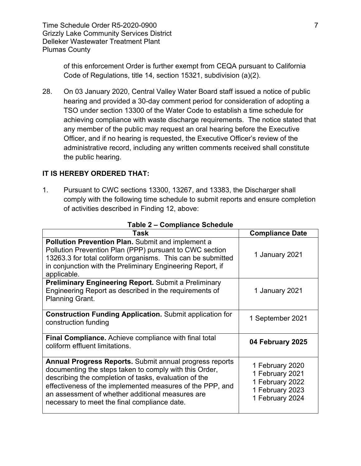Time Schedule Order R5-2020-0900 7 7 Grizzly Lake Community Services District Delleker Wastewater Treatment Plant Plumas County

of this enforcement Order is further exempt from CEQA pursuant to California Code of Regulations, title 14, section 15321, subdivision (a)(2).

28. On 03 January 2020, Central Valley Water Board staff issued a notice of public hearing and provided a 30-day comment period for consideration of adopting a TSO under section 13300 of the Water Code to establish a time schedule for achieving compliance with waste discharge requirements. The notice stated that any member of the public may request an oral hearing before the Executive Officer, and if no hearing is requested, the Executive Officer's review of the administrative record, including any written comments received shall constitute the public hearing.

### **IT IS HEREBY ORDERED THAT:**

1. Pursuant to CWC sections 13300, 13267, and 13383, the Discharger shall comply with the following time schedule to submit reports and ensure completion of activities described in Finding 12, above:

| <b>Task</b>                                                                                                                                                                                                                                                                                                                                        | <b>Compliance Date</b>                                                                      |  |
|----------------------------------------------------------------------------------------------------------------------------------------------------------------------------------------------------------------------------------------------------------------------------------------------------------------------------------------------------|---------------------------------------------------------------------------------------------|--|
| <b>Pollution Prevention Plan.</b> Submit and implement a<br>Pollution Prevention Plan (PPP) pursuant to CWC section<br>13263.3 for total coliform organisms. This can be submitted<br>in conjunction with the Preliminary Engineering Report, if<br>applicable.                                                                                    | 1 January 2021                                                                              |  |
| <b>Preliminary Engineering Report.</b> Submit a Preliminary<br>Engineering Report as described in the requirements of<br><b>Planning Grant.</b>                                                                                                                                                                                                    | 1 January 2021                                                                              |  |
| <b>Construction Funding Application.</b> Submit application for<br>construction funding                                                                                                                                                                                                                                                            | 1 September 2021                                                                            |  |
| <b>Final Compliance.</b> Achieve compliance with final total<br>coliform effluent limitations.                                                                                                                                                                                                                                                     | 04 February 2025                                                                            |  |
| <b>Annual Progress Reports.</b> Submit annual progress reports<br>documenting the steps taken to comply with this Order,<br>describing the completion of tasks, evaluation of the<br>effectiveness of the implemented measures of the PPP, and<br>an assessment of whether additional measures are<br>necessary to meet the final compliance date. | 1 February 2020<br>1 February 2021<br>1 February 2022<br>1 February 2023<br>1 February 2024 |  |

#### **Table 2 – Compliance Schedule**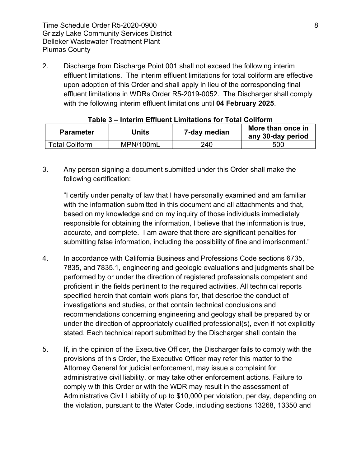Time Schedule Order R5-2020-0900 8 Grizzly Lake Community Services District Delleker Wastewater Treatment Plant Plumas County

2. Discharge from Discharge Point 001 shall not exceed the following interim effluent limitations. The interim effluent limitations for total coliform are effective upon adoption of this Order and shall apply in lieu of the corresponding final effluent limitations in WDRs Order R5-2019-0052. The Discharger shall comply with the following interim effluent limitations until **04 February 2025**.

| <b>Parameter</b>      | Units     | 7-day median | More than once in<br>any 30-day period |
|-----------------------|-----------|--------------|----------------------------------------|
| <b>Total Coliform</b> | MPN/100mL | 240          | 500                                    |

#### **Table 3 – Interim Effluent Limitations for Total Coliform**

3. Any person signing a document submitted under this Order shall make the following certification:

"I certify under penalty of law that I have personally examined and am familiar with the information submitted in this document and all attachments and that, based on my knowledge and on my inquiry of those individuals immediately responsible for obtaining the information, I believe that the information is true, accurate, and complete. I am aware that there are significant penalties for submitting false information, including the possibility of fine and imprisonment."

- 4. In accordance with California Business and Professions Code sections 6735, 7835, and 7835.1, engineering and geologic evaluations and judgments shall be performed by or under the direction of registered professionals competent and proficient in the fields pertinent to the required activities. All technical reports specified herein that contain work plans for, that describe the conduct of investigations and studies, or that contain technical conclusions and recommendations concerning engineering and geology shall be prepared by or under the direction of appropriately qualified professional(s), even if not explicitly stated. Each technical report submitted by the Discharger shall contain the
- 5. If, in the opinion of the Executive Officer, the Discharger fails to comply with the provisions of this Order, the Executive Officer may refer this matter to the Attorney General for judicial enforcement, may issue a complaint for administrative civil liability, or may take other enforcement actions. Failure to comply with this Order or with the WDR may result in the assessment of Administrative Civil Liability of up to \$10,000 per violation, per day, depending on the violation, pursuant to the Water Code, including sections 13268, 13350 and